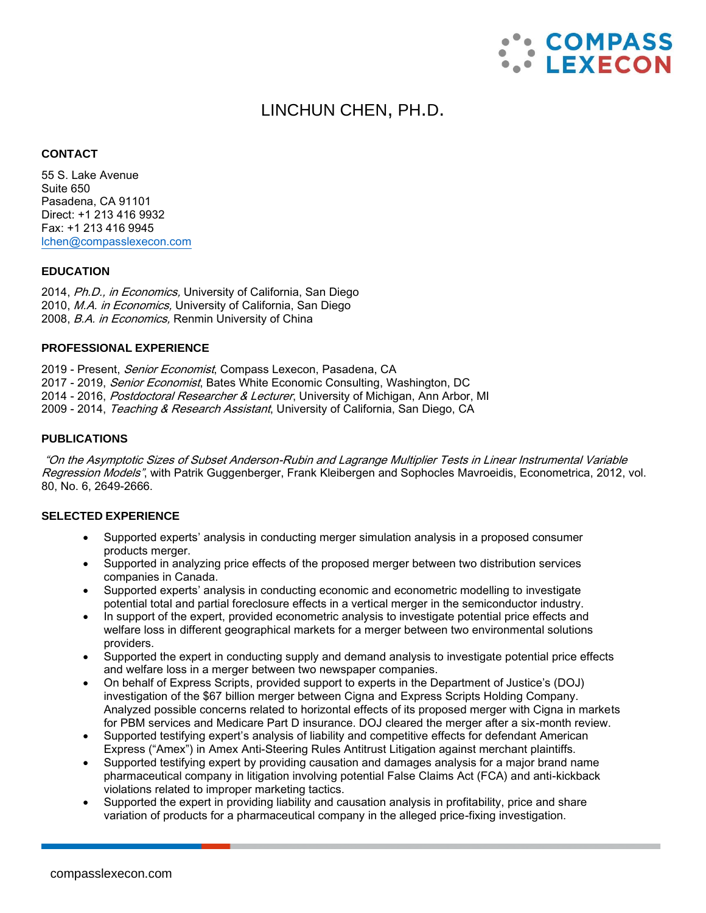

# LINCHUN CHEN, PH.D.

#### **CONTACT**

55 S. Lake Avenue Suite 650 Pasadena, CA 91101 Direct: +1 213 416 9932 Fax: +1 213 416 9945 [lchen@compasslexecon.com](mailto:lchen@compasslexecon.com)

#### **EDUCATION**

2014, Ph.D., in Economics, University of California, San Diego 2010, M.A. in Economics, University of California, San Diego 2008, B.A. in Economics, Renmin University of China

## **PROFESSIONAL EXPERIENCE**

2019 - Present, Senior Economist, Compass Lexecon, Pasadena, CA 2017 - 2019, *Senior Economist*, Bates White Economic Consulting, Washington, DC 2014 - 2016, Postdoctoral Researcher & Lecturer, University of Michigan, Ann Arbor, MI 2009 - 2014, Teaching & Research Assistant, University of California, San Diego, CA

#### **PUBLICATIONS**

"On the Asymptotic Sizes of Subset Anderson-Rubin and Lagrange Multiplier Tests in Linear Instrumental Variable Regression Models", with Patrik Guggenberger, Frank Kleibergen and Sophocles Mavroeidis, Econometrica, 2012, vol. 80, No. 6, 2649-2666.

## **SELECTED EXPERIENCE**

- Supported experts' analysis in conducting merger simulation analysis in a proposed consumer products merger.
- Supported in analyzing price effects of the proposed merger between two distribution services companies in Canada.
- Supported experts' analysis in conducting economic and econometric modelling to investigate potential total and partial foreclosure effects in a vertical merger in the semiconductor industry.
- In support of the expert, provided econometric analysis to investigate potential price effects and welfare loss in different geographical markets for a merger between two environmental solutions providers.
- Supported the expert in conducting supply and demand analysis to investigate potential price effects and welfare loss in a merger between two newspaper companies.
- On behalf of Express Scripts, provided support to experts in the Department of Justice's (DOJ) investigation of the \$67 billion merger between Cigna and Express Scripts Holding Company. Analyzed possible concerns related to horizontal effects of its proposed merger with Cigna in markets for PBM services and Medicare Part D insurance. DOJ cleared the merger after a six-month review.
- Supported testifying expert's analysis of liability and competitive effects for defendant American Express ("Amex") in Amex Anti-Steering Rules Antitrust Litigation against merchant plaintiffs.
- Supported testifying expert by providing causation and damages analysis for a major brand name pharmaceutical company in litigation involving potential False Claims Act (FCA) and anti-kickback violations related to improper marketing tactics.
- Supported the expert in providing liability and causation analysis in profitability, price and share variation of products for a pharmaceutical company in the alleged price-fixing investigation.